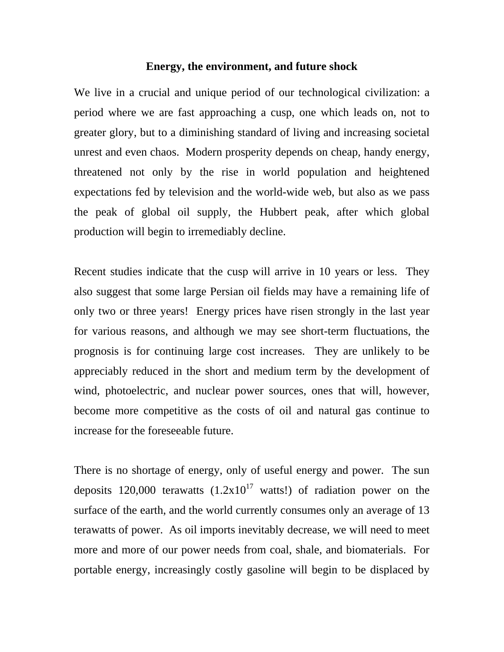## **Energy, the environment, and future shock**

We live in a crucial and unique period of our technological civilization: a period where we are fast approaching a cusp, one which leads on, not to greater glory, but to a diminishing standard of living and increasing societal unrest and even chaos. Modern prosperity depends on cheap, handy energy, threatened not only by the rise in world population and heightened expectations fed by television and the world-wide web, but also as we pass the peak of global oil supply, the Hubbert peak, after which global production will begin to irremediably decline.

Recent studies indicate that the cusp will arrive in 10 years or less. They also suggest that some large Persian oil fields may have a remaining life of only two or three years! Energy prices have risen strongly in the last year for various reasons, and although we may see short-term fluctuations, the prognosis is for continuing large cost increases. They are unlikely to be appreciably reduced in the short and medium term by the development of wind, photoelectric, and nuclear power sources, ones that will, however, become more competitive as the costs of oil and natural gas continue to increase for the foreseeable future.

There is no shortage of energy, only of useful energy and power. The sun deposits 120,000 terawatts  $(1.2x10^{17} \text{ watts}!)$  of radiation power on the surface of the earth, and the world currently consumes only an average of 13 terawatts of power. As oil imports inevitably decrease, we will need to meet more and more of our power needs from coal, shale, and biomaterials. For portable energy, increasingly costly gasoline will begin to be displaced by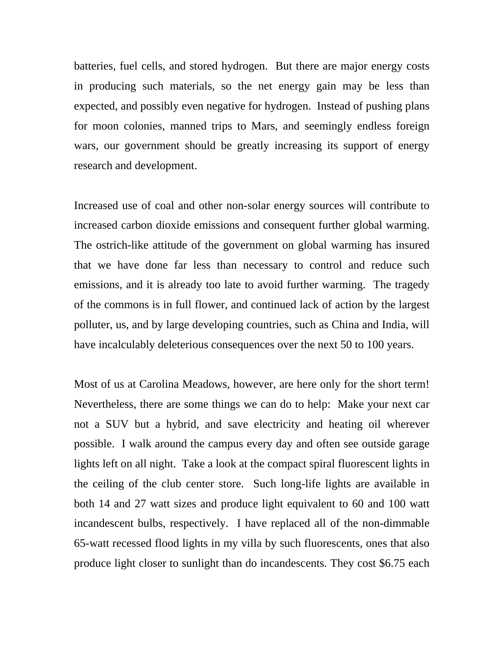batteries, fuel cells, and stored hydrogen. But there are major energy costs in producing such materials, so the net energy gain may be less than expected, and possibly even negative for hydrogen. Instead of pushing plans for moon colonies, manned trips to Mars, and seemingly endless foreign wars, our government should be greatly increasing its support of energy research and development.

Increased use of coal and other non-solar energy sources will contribute to increased carbon dioxide emissions and consequent further global warming. The ostrich-like attitude of the government on global warming has insured that we have done far less than necessary to control and reduce such emissions, and it is already too late to avoid further warming. The tragedy of the commons is in full flower, and continued lack of action by the largest polluter, us, and by large developing countries, such as China and India, will have incalculably deleterious consequences over the next 50 to 100 years.

Most of us at Carolina Meadows, however, are here only for the short term! Nevertheless, there are some things we can do to help: Make your next car not a SUV but a hybrid, and save electricity and heating oil wherever possible. I walk around the campus every day and often see outside garage lights left on all night. Take a look at the compact spiral fluorescent lights in the ceiling of the club center store. Such long-life lights are available in both 14 and 27 watt sizes and produce light equivalent to 60 and 100 watt incandescent bulbs, respectively. I have replaced all of the non-dimmable 65-watt recessed flood lights in my villa by such fluorescents, ones that also produce light closer to sunlight than do incandescents. They cost \$6.75 each